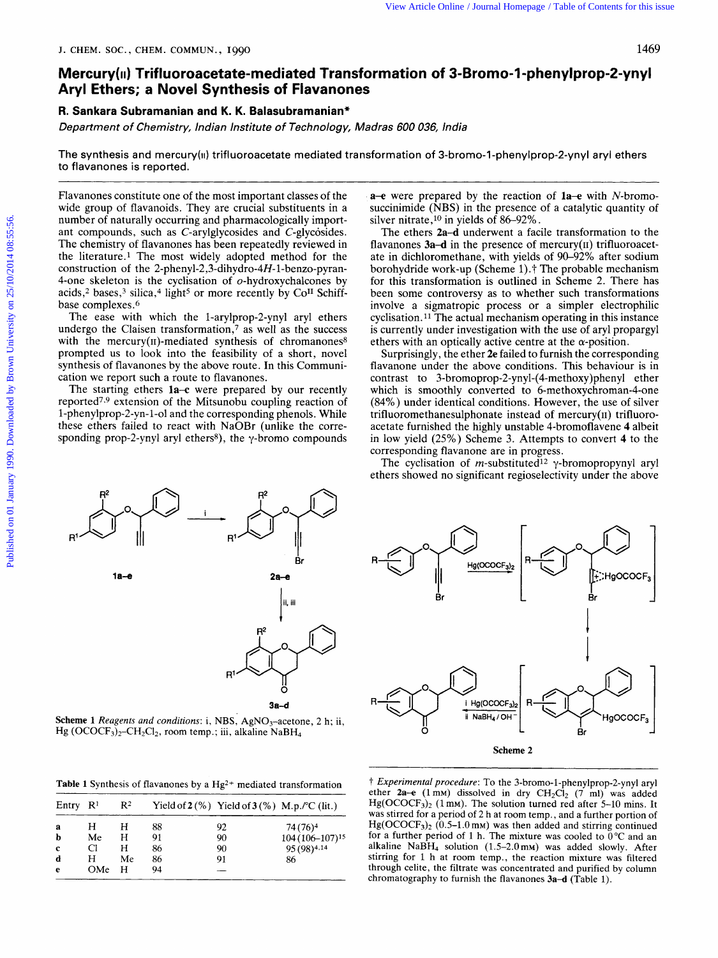## **Aryl Ethers; a Novel Synthesis of Flavanones Mercury(i1) Trifluoroacetate-mediated Transformation of 3-Bromo-I-phenylprop-2-ynyl**  *ziew Article Online / Journal Homepage / Table of Contents for this issue*<br>SOC., CHEM. COMMUN., 1990<br> $\frac{1469}{260}$ 1469<br>**sformation of 3-Bromo-1-phenylprop-2-ynyl**<br>Madras 600 036, India 1469<br>**India zystemo-1-phenylprop-2-ynyl<br><sup>India</sup> -bromo-1-phenylprop-2-ynyl aryl ethers**

## **R. Sankara Subramanian and K. K. Balasubramanian"**

Department of Chemistry, Indian Institute of Technology,

The synthesis and mercury(ii) trifluoroacetate mediated transformation of 3-bromo-I to flavanones is reported.

Flavanones constitute one of the most important classes of the wide group of flavanoids. They are crucial substituents in a number of naturally occurring and pharmacologically important compounds, such as C-arylglycosides and C-glycosides. The chemistry of flavanones has been repeatedly reviewed in the literature.<sup>1</sup> The most widely adopted method for the construction of the 2-phenyl-2,3-dihydro-4H-1-benzo-pyran-Flavanones constitute one of the most important classes of the<br>wide group of flavanoids. They are crucial substituents in a<br>number of naturally occurring and pharmacologically import-<br>silver nitrate,<sup>10</sup> in yields of 86–9 4-one skeleton is the cyclisation of  $o$ -hydroxychalcones by acids,<sup>2</sup> bases,<sup>3</sup> silica,<sup>4</sup> light<sup>5</sup> or more recently by Co<sup>II</sup> Schiffbase complexes.6

The ease with which the 1-arylprop-2-ynyl aryl ethers undergo the Claisen transformation, $\frac{7}{1}$  as well as the success with the mercury( $\pi$ )-mediated synthesis of chromanones<sup>8</sup> prompted us to look into the feasibility of a short, novel synthesis of flavanones by the above route. In this Communication we report such a route to flavanones.

The starting ethers **la-c** were prepared by our recently reported7.9 extension of the Mitsunobu coupling reaction of 1-phenylprop-2-yn-1-01 and the corresponding phenols. While these ethers failed to react with NaOBr (unlike the corresponding prop-2-ynyl aryl ethers<sup>8</sup>), the  $\gamma$ -bromo compounds

**a-e** were prepared by the reaction of **la-e** with N-bromosuccinimide **(NBS)** in the presence of a catalytic quantity of silver nitrate,<sup>10</sup> in yields of  $86-92\%$ .

The ethers **2a-d** underwent a facile transformation to the flavanones **3a-d** in the presence of mercury(II) trifluoroacetate in dichloromethane, with yields of 90-92% after sodium borohydride work-up (Scheme 1)  $\ddagger$  The probable mechanism for this transformation is outlined in Scheme 2. There has been some controversy as to whether such transformations involve a sigmatropic process or a simpler electrophilic cyclisation. **11** The actual mechanism operating in this instance is currently under investigation with the use of aryl propargyl ethers with an optically active centre at the  $\alpha$ -position.

Surprisingly, the ether **2e** failed to furnish the corresponding flavanone under the above conditions. This behaviour is in contrast to **3-bromoprop-2-ynyl-(4-methoxy)phenyl** ether which is smoothly converted to 6-methoxychroman-4-one (84%) under identical conditions. However, the use of silver trifluoromethanesulphonate instead of mercury $(ii)$  trifluoroacetate furnished the highly unstable 4-bromoflavene **4** albeit in low yield (25%) Scheme 3. Attempts to convert **4** to the corresponding flavanone are in progress.

The cyclisation of *m*-substituted<sup>12</sup>  $\gamma$ -bromopropynyl aryl ethers showed no significant regioselectivity under the above



**Scheme 1** *Reagents and conditions: i, NBS, AgNO<sub>3</sub>-acetone, 2 h; ii,*  $Hg$  (OCOCF<sub>3</sub>)<sub>2</sub>-CH<sub>2</sub>Cl<sub>2</sub>, room temp.; iii, alkaline NaBH<sub>4</sub>

| <b>Table 1</b> Synthesis of flavanones by a $Hg^{2+}$ mediated transformation |  |  |  |  |
|-------------------------------------------------------------------------------|--|--|--|--|
|-------------------------------------------------------------------------------|--|--|--|--|

~ ~ ~ ~~~~~

| Entry $\mathbb{R}^1$            |                           | $\mathbb{R}^2$         |                            | Yield of $2(\%)$ Yield of $3(\%)$ M.p./°C (lit.) |                                                                              |
|---------------------------------|---------------------------|------------------------|----------------------------|--------------------------------------------------|------------------------------------------------------------------------------|
| а<br>b<br>$\mathbf c$<br>d<br>e | н<br>Me<br>Cl<br>н<br>OMe | н<br>н<br>н<br>Мe<br>н | 88<br>91<br>86<br>86<br>94 | 92<br>90<br>90<br>91                             | 74 (76) <sup>4</sup><br>$104(106-107)^{15}$<br>95 (98) <sup>4,14</sup><br>86 |



t *Experimental procedure:* To the 3-bromo-1-phenylprop-2-ynyl aryl ether  $2a-e$  (1 mm) dissolved in dry  $CH_2Cl_2$  (7 ml) was added  $Hg(OCOCF<sub>3</sub>)<sub>2</sub>$  (1 mm). The solution turned red after 5-10 mins. It was stirred for a period of 2 h at room temp., and a further portion of  $Hg(OCOCF<sub>3</sub>)<sub>2</sub>$  (0.5-1.0 mm) was then added and stirring continued for a further period of 1 h. The mixture was cooled to  $0^{\circ}$ C and an alkaline NaBH<sub>4</sub> solution  $(1.5-2.0 \text{ mM})$  was added slowly. After stirring for 1 h at room temp., the reaction mixture was filtered through celite, the filtrate was concentrated and purified by column chromatography to furnish the flavanones **3a-d** (Table 1).